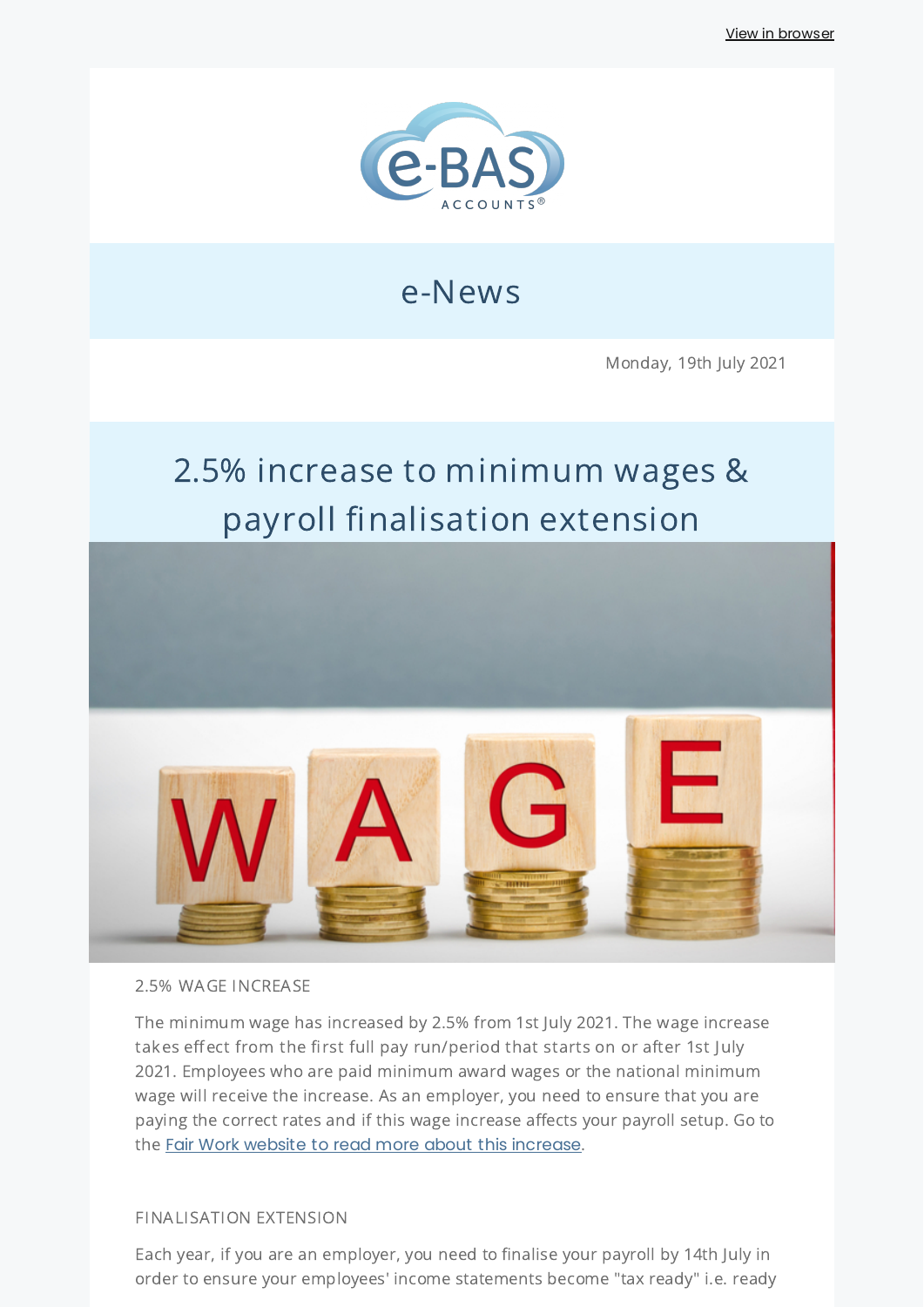

## e-News

Monday, 19th July 2021

# 2.5% increase to minimum wages & payroll finalisation extension



#### 2.5% WAGE INCREASE

The minimum wage has increased by 2.5% from 1st July 2021. The wage increase takes effect from the first full pay run/period that starts on or after 1st July 2021. Employees who are paid minimum award wages or the national minimum wage will receive the increase. As an employer, you need to ensure that you are paying the correct rates and if this wage increase affects your payroll setup. Go to the Fair Work website to read more about this [increase](https://www.fairwork.gov.au/pay/minimum-wages).

#### FINALISATION EXTENSION

Each year, if you are an employer, you need to finalise your payroll by 14th July in order to ensure your employees' income statements become "tax ready" i.e. ready